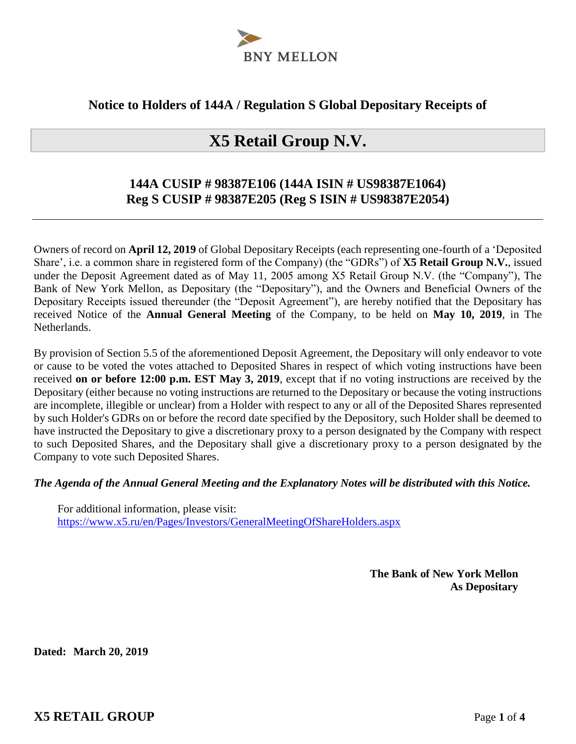

### **Notice to Holders of 144A / Regulation S Global Depositary Receipts of**

# **X5 Retail Group N.V.**

## **144A CUSIP # 98387E106 (144A ISIN # US98387E1064) Reg S CUSIP # 98387E205 (Reg S ISIN # US98387E2054)**

Owners of record on **April 12, 2019** of Global Depositary Receipts (each representing one-fourth of a 'Deposited Share', i.e. a common share in registered form of the Company) (the "GDRs") of **X5 Retail Group N.V.**, issued under the Deposit Agreement dated as of May 11, 2005 among X5 Retail Group N.V. (the "Company"), The Bank of New York Mellon, as Depositary (the "Depositary"), and the Owners and Beneficial Owners of the Depositary Receipts issued thereunder (the "Deposit Agreement"), are hereby notified that the Depositary has received Notice of the **Annual General Meeting** of the Company, to be held on **May 10, 2019**, in The Netherlands.

By provision of Section 5.5 of the aforementioned Deposit Agreement, the Depositary will only endeavor to vote or cause to be voted the votes attached to Deposited Shares in respect of which voting instructions have been received **on or before 12:00 p.m. EST May 3, 2019**, except that if no voting instructions are received by the Depositary (either because no voting instructions are returned to the Depositary or because the voting instructions are incomplete, illegible or unclear) from a Holder with respect to any or all of the Deposited Shares represented by such Holder's GDRs on or before the record date specified by the Depository, such Holder shall be deemed to have instructed the Depositary to give a discretionary proxy to a person designated by the Company with respect to such Deposited Shares, and the Depositary shall give a discretionary proxy to a person designated by the Company to vote such Deposited Shares.

#### *The Agenda of the Annual General Meeting and the Explanatory Notes will be distributed with this Notice.*

For additional information, please visit: https://www.x5.ru/en/Pages/Investors/GeneralMeetingOfShareHolders.aspx

> **The Bank of New York Mellon As Depositary**

**Dated: March 20, 2019**

**X5 RETAIL GROUP** Page **1** of **4**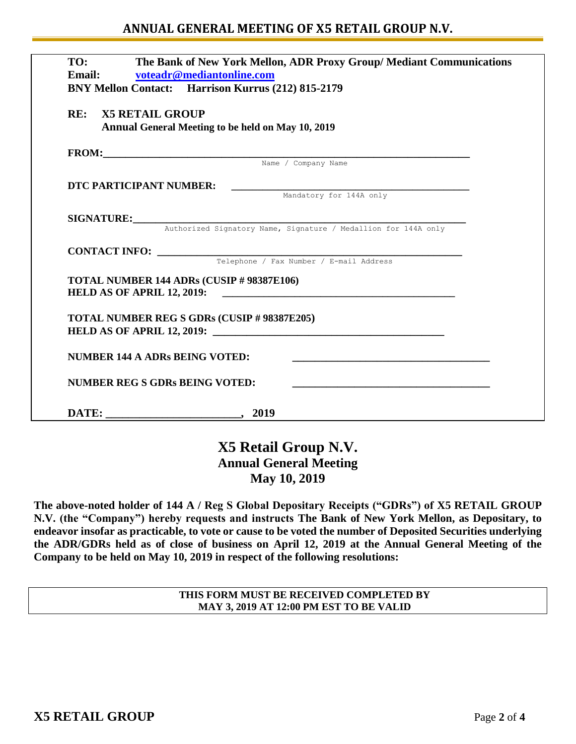### **ANNUAL GENERAL MEETING OF X5 RETAIL GROUP N.V.**

| The Bank of New York Mellon, ADR Proxy Group/ Mediant Communications<br>TO:<br>Email: voteadr@mediantonline.com<br>BNY Mellon Contact: Harrison Kurrus (212) 815-2179 |                                                                                                  |  |  |  |
|-----------------------------------------------------------------------------------------------------------------------------------------------------------------------|--------------------------------------------------------------------------------------------------|--|--|--|
| <b>RE: X5 RETAIL GROUP</b>                                                                                                                                            | Annual General Meeting to be held on May 10, 2019                                                |  |  |  |
|                                                                                                                                                                       | FROM: Name / Company Name                                                                        |  |  |  |
|                                                                                                                                                                       |                                                                                                  |  |  |  |
| DTC PARTICIPANT NUMBER:                                                                                                                                               | Mandatory for 144A only                                                                          |  |  |  |
|                                                                                                                                                                       |                                                                                                  |  |  |  |
|                                                                                                                                                                       | SIGNATURE: Authorized Signatory Name, Signature / Medallion for 144A only                        |  |  |  |
|                                                                                                                                                                       |                                                                                                  |  |  |  |
|                                                                                                                                                                       | <b>CONTACT INFO:</b> Telephone / Fax Number / E-mail Address                                     |  |  |  |
|                                                                                                                                                                       |                                                                                                  |  |  |  |
|                                                                                                                                                                       | TOTAL NUMBER 144 ADRs (CUSIP # 98387E106)<br>HELD AS OF APRIL 12, 2019:                          |  |  |  |
|                                                                                                                                                                       | <b>TOTAL NUMBER REG S GDRs (CUSIP # 98387E205)</b><br>HELD AS OF APRIL 12, 2019: $\qquad \qquad$ |  |  |  |
|                                                                                                                                                                       | <b>NUMBER 144 A ADRs BEING VOTED:</b>                                                            |  |  |  |
|                                                                                                                                                                       | <b>NUMBER REG S GDRs BEING VOTED:</b>                                                            |  |  |  |
|                                                                                                                                                                       |                                                                                                  |  |  |  |

## **X5 Retail Group N.V. Annual General Meeting May 10, 2019**

**The above-noted holder of 144 A / Reg S Global Depositary Receipts ("GDRs") of X5 RETAIL GROUP N.V. (the "Company") hereby requests and instructs The Bank of New York Mellon, as Depositary, to endeavor insofar as practicable, to vote or cause to be voted the number of Deposited Securities underlying the ADR/GDRs held as of close of business on April 12, 2019 at the Annual General Meeting of the Company to be held on May 10, 2019 in respect of the following resolutions:** 

> **THIS FORM MUST BE RECEIVED COMPLETED BY MAY 3, 2019 AT 12:00 PM EST TO BE VALID**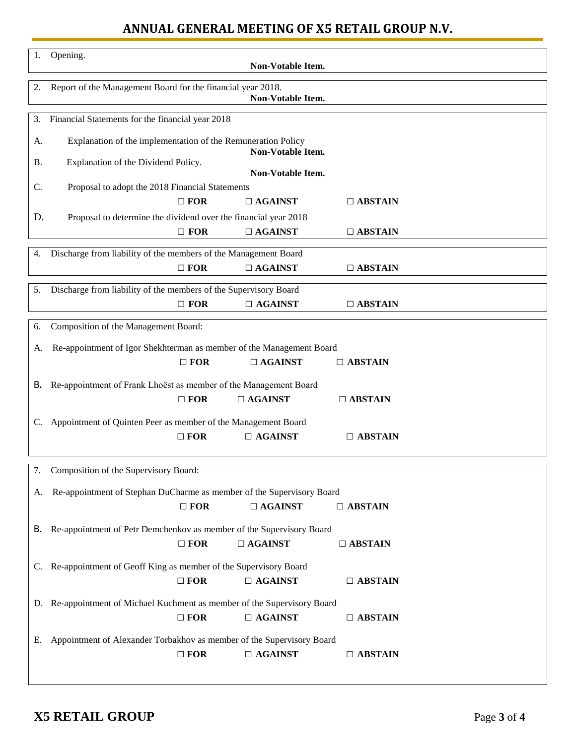# **ANNUAL GENERAL MEETING OF X5 RETAIL GROUP N.V.**

| 1.        | Opening.<br>Non-Votable Item.                                                    |  |  |  |  |  |
|-----------|----------------------------------------------------------------------------------|--|--|--|--|--|
| 2.        | Report of the Management Board for the financial year 2018.<br>Non-Votable Item. |  |  |  |  |  |
| 3.        | Financial Statements for the financial year 2018                                 |  |  |  |  |  |
| A.        | Explanation of the implementation of the Remuneration Policy                     |  |  |  |  |  |
| <b>B.</b> | Non-Votable Item.<br>Explanation of the Dividend Policy.                         |  |  |  |  |  |
| C.        | Non-Votable Item.<br>Proposal to adopt the 2018 Financial Statements             |  |  |  |  |  |
|           | $\Box$ FOR<br>$\Box$ AGAINST<br>$\Box$ ABSTAIN                                   |  |  |  |  |  |
| D.        | Proposal to determine the dividend over the financial year 2018                  |  |  |  |  |  |
|           | $\Box$ FOR<br>$\Box$ AGAINST<br>$\Box$ ABSTAIN                                   |  |  |  |  |  |
| 4.        | Discharge from liability of the members of the Management Board                  |  |  |  |  |  |
|           | $\Box$ FOR<br>$\Box$ AGAINST<br>$\Box$ ABSTAIN                                   |  |  |  |  |  |
| 5.        | Discharge from liability of the members of the Supervisory Board                 |  |  |  |  |  |
|           | $\Box$ FOR<br>$\Box$ AGAINST<br>$\Box$ ABSTAIN                                   |  |  |  |  |  |
| 6.        | Composition of the Management Board:                                             |  |  |  |  |  |
| A.        | Re-appointment of Igor Shekhterman as member of the Management Board             |  |  |  |  |  |
|           | $\Box$ FOR<br>$\Box$ AGAINST<br>$\Box$ ABSTAIN                                   |  |  |  |  |  |
| В.        | Re-appointment of Frank Lhoëst as member of the Management Board                 |  |  |  |  |  |
|           | $\Box$ AGAINST<br>$\Box$ FOR<br>$\Box$ ABSTAIN                                   |  |  |  |  |  |
| C.        | Appointment of Quinten Peer as member of the Management Board                    |  |  |  |  |  |
|           | $\Box$ FOR<br>$\Box$ AGAINST<br>$\Box$ ABSTAIN                                   |  |  |  |  |  |
|           |                                                                                  |  |  |  |  |  |
| 7.        | Composition of the Supervisory Board:                                            |  |  |  |  |  |
| А.        | Re-appointment of Stephan DuCharme as member of the Supervisory Board            |  |  |  |  |  |
|           | $\Box$ AGAINST<br>$\Box$ FOR<br>$\Box$ ABSTAIN                                   |  |  |  |  |  |
| В.        | Re-appointment of Petr Demchenkov as member of the Supervisory Board             |  |  |  |  |  |
|           | $\Box$ FOR<br>$\Box$ AGAINST<br>$\Box$ ABSTAIN                                   |  |  |  |  |  |
| C.        | Re-appointment of Geoff King as member of the Supervisory Board                  |  |  |  |  |  |
|           | $\Box$ FOR<br>$\Box$ AGAINST<br>$\Box$ ABSTAIN                                   |  |  |  |  |  |
|           | D. Re-appointment of Michael Kuchment as member of the Supervisory Board         |  |  |  |  |  |
|           | $\Box$ AGAINST<br>$\Box$ FOR<br>$\Box$ ABSTAIN                                   |  |  |  |  |  |
| Е.        | Appointment of Alexander Torbakhov as member of the Supervisory Board            |  |  |  |  |  |
|           | $\Box$ AGAINST<br>$\Box$ FOR<br>$\Box$ ABSTAIN                                   |  |  |  |  |  |
|           |                                                                                  |  |  |  |  |  |